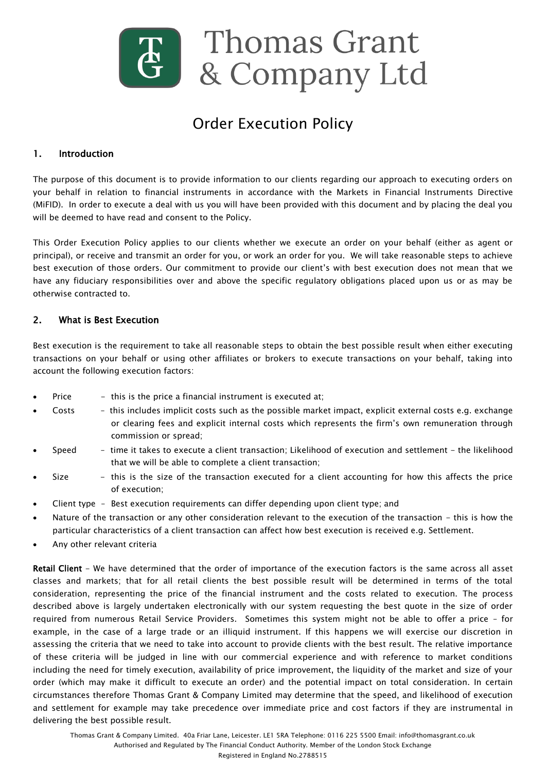

# Order Execution Policy

## 1. Introduction

The purpose of this document is to provide information to our clients regarding our approach to executing orders on your behalf in relation to financial instruments in accordance with the Markets in Financial Instruments Directive (MiFID). In order to execute a deal with us you will have been provided with this document and by placing the deal you will be deemed to have read and consent to the Policy.

This Order Execution Policy applies to our clients whether we execute an order on your behalf (either as agent or principal), or receive and transmit an order for you, or work an order for you. We will take reasonable steps to achieve best execution of those orders. Our commitment to provide our client"s with best execution does not mean that we have any fiduciary responsibilities over and above the specific regulatory obligations placed upon us or as may be otherwise contracted to.

#### 2. What is Best Execution

Best execution is the requirement to take all reasonable steps to obtain the best possible result when either executing transactions on your behalf or using other affiliates or brokers to execute transactions on your behalf, taking into account the following execution factors:

- Price this is the price a financial instrument is executed at;
- Costs this includes implicit costs such as the possible market impact, explicit external costs e.g. exchange or clearing fees and explicit internal costs which represents the firm"s own remuneration through commission or spread;
- Speed time it takes to execute a client transaction; Likelihood of execution and settlement the likelihood that we will be able to complete a client transaction;
- Size this is the size of the transaction executed for a client accounting for how this affects the price of execution;
- Client type Best execution requirements can differ depending upon client type; and
- Nature of the transaction or any other consideration relevant to the execution of the transaction this is how the particular characteristics of a client transaction can affect how best execution is received e.g. Settlement.
- Any other relevant criteria

Retail Client - We have determined that the order of importance of the execution factors is the same across all asset classes and markets; that for all retail clients the best possible result will be determined in terms of the total consideration, representing the price of the financial instrument and the costs related to execution. The process described above is largely undertaken electronically with our system requesting the best quote in the size of order required from numerous Retail Service Providers. Sometimes this system might not be able to offer a price – for example, in the case of a large trade or an illiquid instrument. If this happens we will exercise our discretion in assessing the criteria that we need to take into account to provide clients with the best result. The relative importance of these criteria will be judged in line with our commercial experience and with reference to market conditions including the need for timely execution, availability of price improvement, the liquidity of the market and size of your order (which may make it difficult to execute an order) and the potential impact on total consideration. In certain circumstances therefore Thomas Grant & Company Limited may determine that the speed, and likelihood of execution and settlement for example may take precedence over immediate price and cost factors if they are instrumental in delivering the best possible result.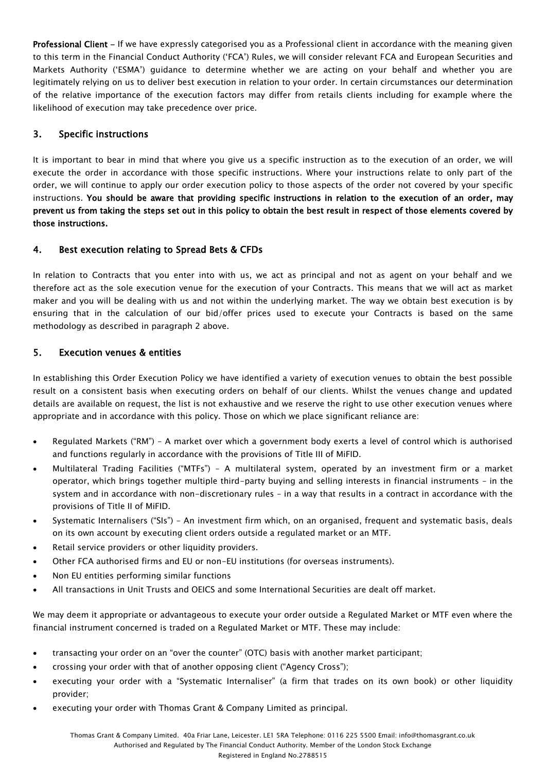Professional Client - If we have expressly categorised you as a Professional client in accordance with the meaning given to this term in the Financial Conduct Authority ("FCA") Rules, we will consider relevant FCA and European Securities and Markets Authority ("ESMA") guidance to determine whether we are acting on your behalf and whether you are legitimately relying on us to deliver best execution in relation to your order. In certain circumstances our determination of the relative importance of the execution factors may differ from retails clients including for example where the likelihood of execution may take precedence over price.

## 3. Specific instructions

It is important to bear in mind that where you give us a specific instruction as to the execution of an order, we will execute the order in accordance with those specific instructions. Where your instructions relate to only part of the order, we will continue to apply our order execution policy to those aspects of the order not covered by your specific instructions. You should be aware that providing specific instructions in relation to the execution of an order, may prevent us from taking the steps set out in this policy to obtain the best result in respect of those elements covered by those instructions.

## 4. Best execution relating to Spread Bets & CFDs

In relation to Contracts that you enter into with us, we act as principal and not as agent on your behalf and we therefore act as the sole execution venue for the execution of your Contracts. This means that we will act as market maker and you will be dealing with us and not within the underlying market. The way we obtain best execution is by ensuring that in the calculation of our bid/offer prices used to execute your Contracts is based on the same methodology as described in paragraph 2 above.

## 5. Execution venues & entities

In establishing this Order Execution Policy we have identified a variety of execution venues to obtain the best possible result on a consistent basis when executing orders on behalf of our clients. Whilst the venues change and updated details are available on request, the list is not exhaustive and we reserve the right to use other execution venues where appropriate and in accordance with this policy. Those on which we place significant reliance are:

- Regulated Markets ("RM") A market over which a government body exerts a level of control which is authorised and functions regularly in accordance with the provisions of Title III of MiFID.
- Multilateral Trading Facilities ("MTFs") A multilateral system, operated by an investment firm or a market operator, which brings together multiple third-party buying and selling interests in financial instruments – in the system and in accordance with non-discretionary rules – in a way that results in a contract in accordance with the provisions of Title II of MiFID.
- Systematic Internalisers ("SIs") An investment firm which, on an organised, frequent and systematic basis, deals on its own account by executing client orders outside a regulated market or an MTF.
- Retail service providers or other liquidity providers.
- Other FCA authorised firms and EU or non-EU institutions (for overseas instruments).
- Non EU entities performing similar functions
- All transactions in Unit Trusts and OEICS and some International Securities are dealt off market.

We may deem it appropriate or advantageous to execute your order outside a Regulated Market or MTF even where the financial instrument concerned is traded on a Regulated Market or MTF. These may include:

- transacting your order on an "over the counter" (OTC) basis with another market participant;
- crossing your order with that of another opposing client ("Agency Cross");
- executing your order with a "Systematic Internaliser" (a firm that trades on its own book) or other liquidity provider;
- executing your order with Thomas Grant & Company Limited as principal.